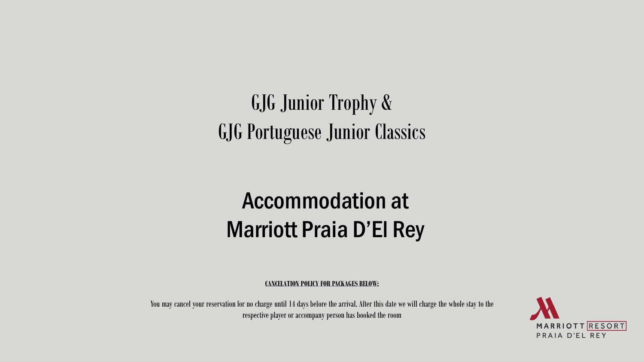# GJG Junior Trophy & GJG Portuguese Junior Classics

# Accommodation at Marriott Praia D'El Rey

**CANCELATION POLICY FOR PACKAGES BELOW:**

You may cancel your reservation for no charge until 14 days before the arrival. After this date we will charge the whole stay to the respective player or accompany person has booked the room

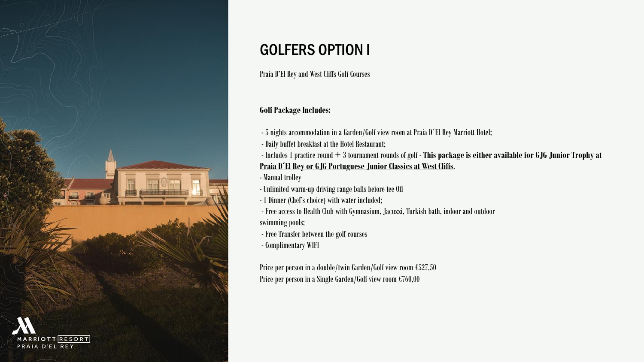

# GOLFERS OPTION I

Praia D'El Rey and West Cliffs Golf Courses

#### **Golf Package Includes:**

- 5 nights accommodation in a Garden/Golf view room at Praia D´El Rey Marriott Hotel;

- Daily buffet breakfast at the Hotel Restaurant;

- Includes 1 practice round + 3 tournament rounds of golf - **This package is either available for GJG Junior Trophy at Praia D´El Rey or GJG Portuguese Junior Classics at West Cliffs**.

- Manual trolley

- Unlimited warm-up driving range balls before tee Off

- 1 Dinner (Chef's choice) with water included;

- Free access to Health Club with Gymnasium, Jacuzzi, Turkish bath, indoor and outdoor
- swimming pools;
- Free Transfer between the golf courses
- Complimentary WIFI

Price per person in a double/twin Garden/Golf view room €527,50 Price per person in a Single Garden/Golf view room €760,00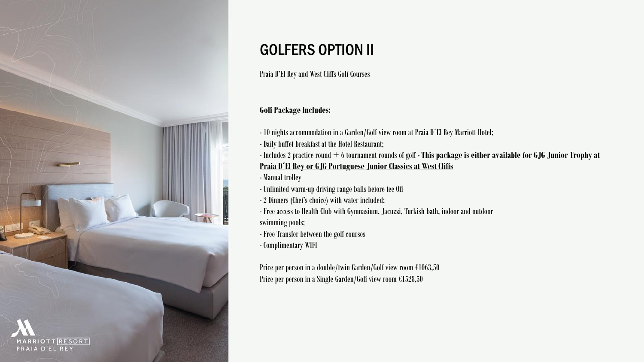

# GOLFERS OPTION II

Praia D'El Rey and West Cliffs Golf Courses

#### **Golf Package Includes:**

- 10 nights accommodation in a Garden/Golf view room at Praia D´El Rey Marriott Hotel;
- Daily buffet breakfast at the Hotel Restaurant;
- Includes 2 practice round + 6 tournament rounds of golf **- This package is either available for GJG Junior Trophy at Praia D´El Rey or GJG Portuguese Junior Classics at West Cliffs**
- Manual trolley
- Unlimited warm-up driving range balls before tee Off
- 2 Dinners (Chef's choice) with water included;
- Free access to Health Club with Gymnasium, Jacuzzi, Turkish bath, indoor and outdoor
- swimming pools;
- Free Transfer between the golf courses
- Complimentary WIFI

Price per person in a double/twin Garden/Golf view room €1063,50 Price per person in a Single Garden/Golf view room €1528,50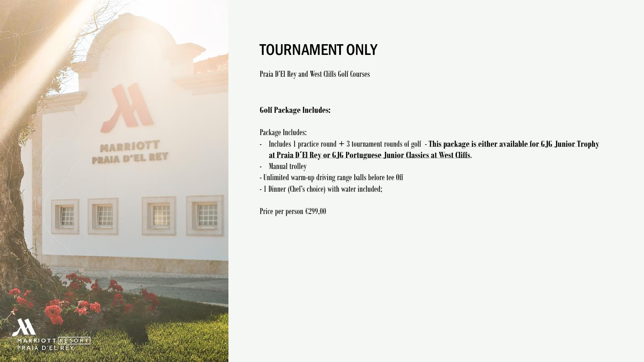

### TOURNAMENT ONLY

Praia D'El Rey and West Cliffs Golf Courses

#### **Golf Package Includes:**

Package Includes:

- Includes 1 practice round + 3 tournament rounds of golf **This package is either available for GJG Junior Trophy at Praia D´El Rey or GJG Portuguese Junior Classics at West Cliffs**.
- Manual trolley
- Unlimited warm-up driving range balls before tee Off
- 1 Dinner (Chef's choice) with water included;

Price per person €299,00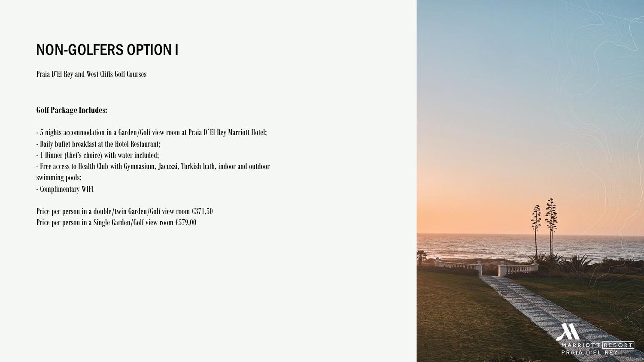## NON-GOLFERS OPTION I

Praia D'El Rey and West Cliffs Golf Courses

**Golf Package Includes:**

- 5 nights accommodation in a Garden/Golf view room at Praia D´El Rey Marriott Hotel;
- Daily buffet breakfast at the Hotel Restaurant;
- 1 Dinner (Chef's choice) with water included;
- Free access to Health Club with Gymnasium, Jacuzzi, Turkish bath, indoor and outdoor swimming pools;
- Complimentary WIFI

Price per person in a double/twin Garden/Golf view room €371,50 Price per person in a Single Garden/Golf view room €579,00